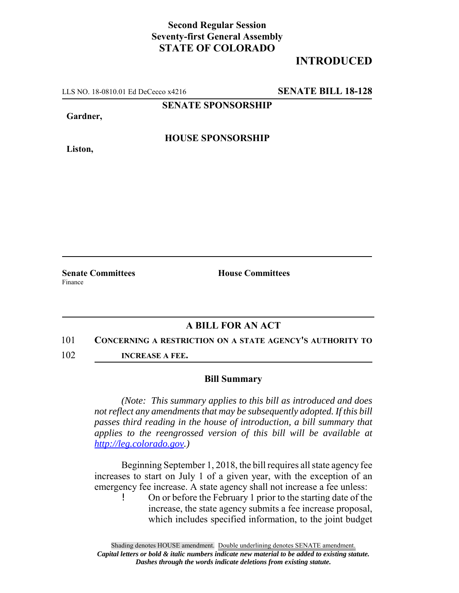## **Second Regular Session Seventy-first General Assembly STATE OF COLORADO**

# **INTRODUCED**

LLS NO. 18-0810.01 Ed DeCecco x4216 **SENATE BILL 18-128**

**SENATE SPONSORSHIP**

**Gardner,**

**Liston,**

**HOUSE SPONSORSHIP**

Finance

**Senate Committees House Committees** 

## **A BILL FOR AN ACT**

#### 101 **CONCERNING A RESTRICTION ON A STATE AGENCY'S AUTHORITY TO**

102 **INCREASE A FEE.**

### **Bill Summary**

*(Note: This summary applies to this bill as introduced and does not reflect any amendments that may be subsequently adopted. If this bill passes third reading in the house of introduction, a bill summary that applies to the reengrossed version of this bill will be available at http://leg.colorado.gov.)*

Beginning September 1, 2018, the bill requires all state agency fee increases to start on July 1 of a given year, with the exception of an emergency fee increase. A state agency shall not increase a fee unless:

! On or before the February 1 prior to the starting date of the increase, the state agency submits a fee increase proposal, which includes specified information, to the joint budget

Shading denotes HOUSE amendment. Double underlining denotes SENATE amendment. *Capital letters or bold & italic numbers indicate new material to be added to existing statute. Dashes through the words indicate deletions from existing statute.*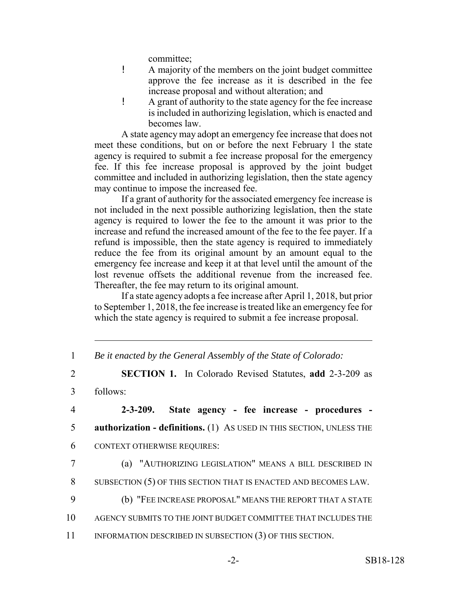committee;

- ! A majority of the members on the joint budget committee approve the fee increase as it is described in the fee increase proposal and without alteration; and
- ! A grant of authority to the state agency for the fee increase is included in authorizing legislation, which is enacted and becomes law.

A state agency may adopt an emergency fee increase that does not meet these conditions, but on or before the next February 1 the state agency is required to submit a fee increase proposal for the emergency fee. If this fee increase proposal is approved by the joint budget committee and included in authorizing legislation, then the state agency may continue to impose the increased fee.

If a grant of authority for the associated emergency fee increase is not included in the next possible authorizing legislation, then the state agency is required to lower the fee to the amount it was prior to the increase and refund the increased amount of the fee to the fee payer. If a refund is impossible, then the state agency is required to immediately reduce the fee from its original amount by an amount equal to the emergency fee increase and keep it at that level until the amount of the lost revenue offsets the additional revenue from the increased fee. Thereafter, the fee may return to its original amount.

If a state agency adopts a fee increase after April 1, 2018, but prior to September 1, 2018, the fee increase is treated like an emergency fee for which the state agency is required to submit a fee increase proposal.

| Be it enacted by the General Assembly of the State of Colorado: |  |  |  |
|-----------------------------------------------------------------|--|--|--|
|                                                                 |  |  |  |

2 **SECTION 1.** In Colorado Revised Statutes, **add** 2-3-209 as

3 follows:

4 **2-3-209. State agency - fee increase - procedures -** 5 **authorization - definitions.** (1) AS USED IN THIS SECTION, UNLESS THE 6 CONTEXT OTHERWISE REQUIRES:

7 (a) "AUTHORIZING LEGISLATION" MEANS A BILL DESCRIBED IN

8 SUBSECTION (5) OF THIS SECTION THAT IS ENACTED AND BECOMES LAW.

- 9 (b) "FEE INCREASE PROPOSAL" MEANS THE REPORT THAT A STATE
- 10 AGENCY SUBMITS TO THE JOINT BUDGET COMMITTEE THAT INCLUDES THE
- 11 INFORMATION DESCRIBED IN SUBSECTION (3) OF THIS SECTION.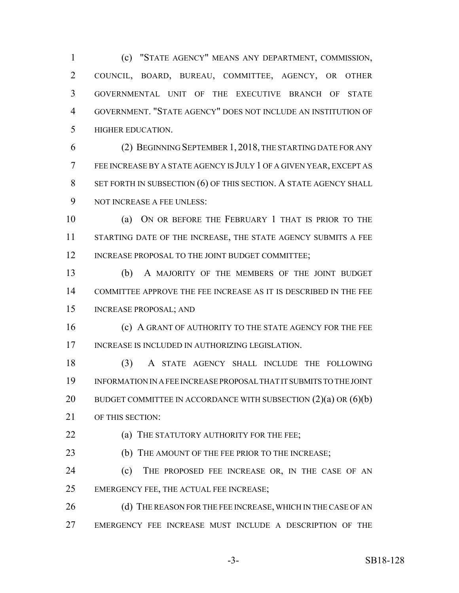(c) "STATE AGENCY" MEANS ANY DEPARTMENT, COMMISSION, COUNCIL, BOARD, BUREAU, COMMITTEE, AGENCY, OR OTHER GOVERNMENTAL UNIT OF THE EXECUTIVE BRANCH OF STATE GOVERNMENT. "STATE AGENCY" DOES NOT INCLUDE AN INSTITUTION OF HIGHER EDUCATION.

 (2) BEGINNING SEPTEMBER 1, 2018, THE STARTING DATE FOR ANY FEE INCREASE BY A STATE AGENCY IS JULY 1 OF A GIVEN YEAR, EXCEPT AS 8 SET FORTH IN SUBSECTION (6) OF THIS SECTION. A STATE AGENCY SHALL NOT INCREASE A FEE UNLESS:

 (a) ON OR BEFORE THE FEBRUARY 1 THAT IS PRIOR TO THE 11 STARTING DATE OF THE INCREASE, THE STATE AGENCY SUBMITS A FEE 12 INCREASE PROPOSAL TO THE JOINT BUDGET COMMITTEE;

 (b) A MAJORITY OF THE MEMBERS OF THE JOINT BUDGET COMMITTEE APPROVE THE FEE INCREASE AS IT IS DESCRIBED IN THE FEE INCREASE PROPOSAL; AND

**(c) A GRANT OF AUTHORITY TO THE STATE AGENCY FOR THE FEE** INCREASE IS INCLUDED IN AUTHORIZING LEGISLATION.

 (3) A STATE AGENCY SHALL INCLUDE THE FOLLOWING INFORMATION IN A FEE INCREASE PROPOSAL THAT IT SUBMITS TO THE JOINT 20 BUDGET COMMITTEE IN ACCORDANCE WITH SUBSECTION (2)(a) OR (6)(b) OF THIS SECTION:

**(a) THE STATUTORY AUTHORITY FOR THE FEE**;

**(b)** THE AMOUNT OF THE FEE PRIOR TO THE INCREASE;

 (c) THE PROPOSED FEE INCREASE OR, IN THE CASE OF AN EMERGENCY FEE, THE ACTUAL FEE INCREASE;

26 (d) THE REASON FOR THE FEE INCREASE, WHICH IN THE CASE OF AN EMERGENCY FEE INCREASE MUST INCLUDE A DESCRIPTION OF THE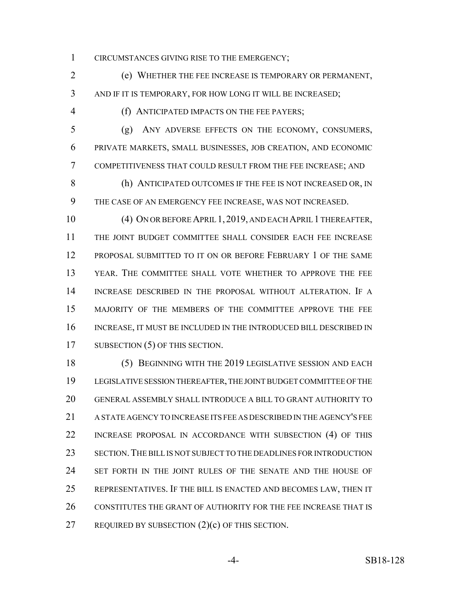CIRCUMSTANCES GIVING RISE TO THE EMERGENCY;

 (e) WHETHER THE FEE INCREASE IS TEMPORARY OR PERMANENT, AND IF IT IS TEMPORARY, FOR HOW LONG IT WILL BE INCREASED;

(f) ANTICIPATED IMPACTS ON THE FEE PAYERS;

 (g) ANY ADVERSE EFFECTS ON THE ECONOMY, CONSUMERS, PRIVATE MARKETS, SMALL BUSINESSES, JOB CREATION, AND ECONOMIC COMPETITIVENESS THAT COULD RESULT FROM THE FEE INCREASE; AND

 (h) ANTICIPATED OUTCOMES IF THE FEE IS NOT INCREASED OR, IN THE CASE OF AN EMERGENCY FEE INCREASE, WAS NOT INCREASED.

 (4) ON OR BEFORE APRIL 1, 2019, AND EACH APRIL 1 THEREAFTER, THE JOINT BUDGET COMMITTEE SHALL CONSIDER EACH FEE INCREASE PROPOSAL SUBMITTED TO IT ON OR BEFORE FEBRUARY 1 OF THE SAME YEAR. THE COMMITTEE SHALL VOTE WHETHER TO APPROVE THE FEE INCREASE DESCRIBED IN THE PROPOSAL WITHOUT ALTERATION. IF A MAJORITY OF THE MEMBERS OF THE COMMITTEE APPROVE THE FEE INCREASE, IT MUST BE INCLUDED IN THE INTRODUCED BILL DESCRIBED IN 17 SUBSECTION (5) OF THIS SECTION.

 (5) BEGINNING WITH THE 2019 LEGISLATIVE SESSION AND EACH LEGISLATIVE SESSION THEREAFTER, THE JOINT BUDGET COMMITTEE OF THE GENERAL ASSEMBLY SHALL INTRODUCE A BILL TO GRANT AUTHORITY TO A STATE AGENCY TO INCREASE ITS FEE AS DESCRIBED IN THE AGENCY'S FEE INCREASE PROPOSAL IN ACCORDANCE WITH SUBSECTION (4) OF THIS SECTION.THE BILL IS NOT SUBJECT TO THE DEADLINES FOR INTRODUCTION SET FORTH IN THE JOINT RULES OF THE SENATE AND THE HOUSE OF REPRESENTATIVES. IF THE BILL IS ENACTED AND BECOMES LAW, THEN IT CONSTITUTES THE GRANT OF AUTHORITY FOR THE FEE INCREASE THAT IS REQUIRED BY SUBSECTION (2)(c) OF THIS SECTION.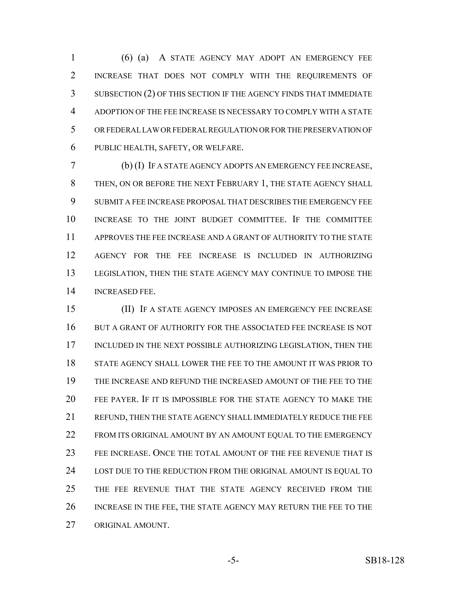(6) (a) A STATE AGENCY MAY ADOPT AN EMERGENCY FEE INCREASE THAT DOES NOT COMPLY WITH THE REQUIREMENTS OF SUBSECTION (2) OF THIS SECTION IF THE AGENCY FINDS THAT IMMEDIATE ADOPTION OF THE FEE INCREASE IS NECESSARY TO COMPLY WITH A STATE OR FEDERAL LAW OR FEDERAL REGULATION OR FOR THE PRESERVATION OF PUBLIC HEALTH, SAFETY, OR WELFARE.

 (b) (I) IF A STATE AGENCY ADOPTS AN EMERGENCY FEE INCREASE, THEN, ON OR BEFORE THE NEXT FEBRUARY 1, THE STATE AGENCY SHALL SUBMIT A FEE INCREASE PROPOSAL THAT DESCRIBES THE EMERGENCY FEE INCREASE TO THE JOINT BUDGET COMMITTEE. IF THE COMMITTEE APPROVES THE FEE INCREASE AND A GRANT OF AUTHORITY TO THE STATE AGENCY FOR THE FEE INCREASE IS INCLUDED IN AUTHORIZING LEGISLATION, THEN THE STATE AGENCY MAY CONTINUE TO IMPOSE THE INCREASED FEE.

 (II) IF A STATE AGENCY IMPOSES AN EMERGENCY FEE INCREASE BUT A GRANT OF AUTHORITY FOR THE ASSOCIATED FEE INCREASE IS NOT INCLUDED IN THE NEXT POSSIBLE AUTHORIZING LEGISLATION, THEN THE STATE AGENCY SHALL LOWER THE FEE TO THE AMOUNT IT WAS PRIOR TO THE INCREASE AND REFUND THE INCREASED AMOUNT OF THE FEE TO THE FEE PAYER. IF IT IS IMPOSSIBLE FOR THE STATE AGENCY TO MAKE THE REFUND, THEN THE STATE AGENCY SHALL IMMEDIATELY REDUCE THE FEE 22 FROM ITS ORIGINAL AMOUNT BY AN AMOUNT EQUAL TO THE EMERGENCY FEE INCREASE. ONCE THE TOTAL AMOUNT OF THE FEE REVENUE THAT IS LOST DUE TO THE REDUCTION FROM THE ORIGINAL AMOUNT IS EQUAL TO THE FEE REVENUE THAT THE STATE AGENCY RECEIVED FROM THE INCREASE IN THE FEE, THE STATE AGENCY MAY RETURN THE FEE TO THE ORIGINAL AMOUNT.